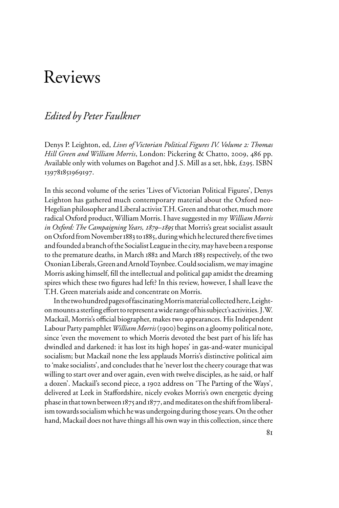# Reviews

## *Edited by Peter Faulkner*

Denys P. Leighton, ed, *Lives of Victorian Political Figures IV. Volume 2: Thomas Hill Green and William Morris*, London: Pickering & Chatto, 2009, 486 pp. Available only with volumes on Bagehot and J.S. Mill as a set, hbk, £295. ISBN 139781851969197.

In this second volume of the series 'Lives of Victorian Political Figures', Denys Leighton has gathered much contemporary material about the Oxford neo-Hegelian philosopher and Liberal activist T.H. Green and that other, much more radical Oxford product, William Morris. I have suggested in my *William Morris in Oxford: The Campaigning Years, 1879–1895* that Morris's great socialist assault on Oxford from November 1883 to 1885, during which he lectured there five times and founded a branch of the Socialist League in the city, may have been a response to the premature deaths, in March 1882 and March 1883 respectively, of the two Oxonian Liberals, Green and Arnold Toynbee. Could socialism, we may imagine Morris asking himself, fill the intellectual and political gap amidst the dreaming spires which these two figures had left? In this review, however, I shall leave the T.H. Green materials aside and concentrate on Morris.

In the two hundred pages of fascinating Morris material collected here, Leighton mounts a sterling effort to represent a wide range of his subject's activities. J.W. Mackail, Morris's official biographer, makes two appearances. His Independent Labour Party pamphlet *William Morris* (1900) begins on a gloomy political note, since 'even the movement to which Morris devoted the best part of his life has dwindled and darkened: it has lost its high hopes' in gas-and-water municipal socialism; but Mackail none the less applauds Morris's distinctive political aim to 'make socialists', and concludes that he 'never lost the cheery courage that was willing to start over and over again, even with twelve disciples, as he said, or half a dozen'. Mackail's second piece, a 1902 address on 'The Parting of the Ways', delivered at Leek in Staffordshire, nicely evokes Morris's own energetic dyeing phase in that town between 1875 and 1877, and meditates on the shift from liberalism towards socialism which he was undergoing during those years. On the other hand, Mackail does not have things all his own way in this collection, since there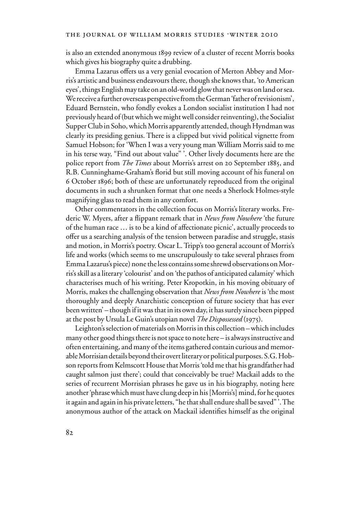is also an extended anonymous 1899 review of a cluster of recent Morris books which gives his biography quite a drubbing.

Emma Lazarus offers us a very genial evocation of Merton Abbey and Morris's artistic and business endeavours there, though she knows that, 'to American eyes', things English may take on an old-world glow that never was on land or sea. We receive a further overseas perspective from the German 'father of revisionism', Eduard Bernstein, who fondly evokes a London socialist institution I had not previously heard of (but which we might well consider reinventing), the Socialist Supper Club in Soho, which Morris apparently attended, though Hyndman was clearly its presiding genius. There is a clipped but vivid political vignette from Samuel Hobson; for 'When I was a very young man William Morris said to me in his terse way, "Find out about value" '. Other lively documents here are the police report from *The Times* about Morris's arrest on 20 September 1885, and R.B. Cunninghame-Graham's florid but still moving account of his funeral on 6 October 1896; both of these are unfortunately reproduced from the original documents in such a shrunken format that one needs a Sherlock Holmes-style magnifying glass to read them in any comfort.

Other commentators in the collection focus on Morris's literary works. Frederic W. Myers, after a flippant remark that in *News from Nowhere* 'the future of the human race ... is to be a kind of affectionate picnic', actually proceeds to offer us a searching analysis of the tension between paradise and struggle, stasis and motion, in Morris's poetry. Oscar L. Tripp's too general account of Morris's life and works (which seems to me unscrupulously to take several phrases from Emma Lazarus's piece) none the less contains some shrewd observations on Morris's skill as a literary 'colourist' and on 'the pathos of anticipated calamity' which characterises much of his writing. Peter Kropotkin, in his moving obituary of Morris, makes the challenging observation that *News from Nowhere* is 'the most thoroughly and deeply Anarchistic conception of future society that has ever been written' – though if it was that in its own day, it has surely since been pipped at the post by Ursula Le Guin's utopian novel *The Dispossessed* (1975).

Leighton's selection of materials on Morris in this collection – which includes many other good things there is not space to note here – is always instructive and often entertaining, and many of the items gathered contain curious and memorable Morrisian details beyond their overt literary or political purposes. S.G. Hobson reports from Kelmscott House that Morris 'told me that his grandfather had caught salmon just there'; could that conceivably be true? Mackail adds to the series of recurrent Morrisian phrases he gave us in his biography, noting here another 'phrase which must have clung deep in his [Morris's] mind, for he quotes it again and again in his private letters, "he that shall endure shall be saved" '. The anonymous author of the attack on Mackail identifies himself as the original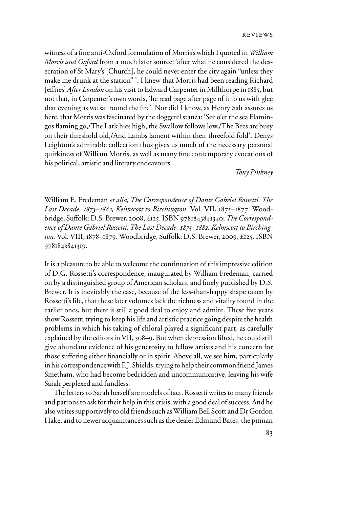witness of a fine anti-Oxford formulation of Morris's which I quoted in *William Morris and Oxford* from a much later source: 'after what he considered the desecration of St Mary's [Church], he could never enter the city again "unless they make me drunk at the station" '. I knew that Morris had been reading Richard Jeffries' *After London* on his visit to Edward Carpenter in Millthorpe in 1885, but not that, in Carpenter's own words, 'he read page after page of it to us with glee that evening as we sat round the fire'. Nor did I know, as Henry Salt assures us here, that Morris was fascinated by the doggerel stanza: 'See o'er the sea Flamingos Xaming go,/The Lark hies high, the Swallow follows low,/The Bees are busy on their threshold old,/And Lambs lament within their threefold fold'. Denys Leighton's admirable collection thus gives us much of the necessary personal quirkiness of William Morris, as well as many fine contemporary evocations of his political, artistic and literary endeavours.

*Tony Pinkney* 

William E. Fredeman *et alia, The Correspondence of Dante Gabriel Rossetti. The Last Decade, 1873–1882, Kelmscott to Birchington.* Vol. VII, 1875–1877. Woodbridge, Suffolk: D.S. Brewer, 2008, £125. ISBN 9781843841340; *The Correspondence of Dante Gabriel Rossetti. The Last Decade, 1873–1882. Kelmscott to Birchington.* Vol. VIII, 1878–1879. Woodbridge, Suffolk: D.S. Brewer, 2009, £125. ISBN 9781843841319.

It is a pleasure to be able to welcome the continuation of this impressive edition of D.G. Rossetti's correspondence, inaugurated by William Fredeman, carried on by a distinguished group of American scholars, and finely published by D.S. Brewer. It is inevitably the case, because of the less-than-happy shape taken by Rossetti's life, that these later volumes lack the richness and vitality found in the earlier ones, but there is still a good deal to enjoy and admire. These five years show Rossetti trying to keep his life and artistic practice going despite the health problems in which his taking of chloral played a significant part, as carefully explained by the editors in VII, 308–9. But when depression lifted, he could still give abundant evidence of his generosity to fellow artists and his concern for those suffering either financially or in spirit. Above all, we see him, particularly in his correspondence with F.J. Shields, trying to help their common friend James Smetham, who had become bedridden and uncommunicative, leaving his wife Sarah perplexed and fundless.

The letters to Sarah herself are models of tact. Rossetti writes to many friends and patrons to ask for their help in this crisis, with a good deal of success. And he also writes supportively to old friends such as William Bell Scott and Dr Gordon Hake, and to newer acquaintances such as the dealer Edmund Bates, the pitman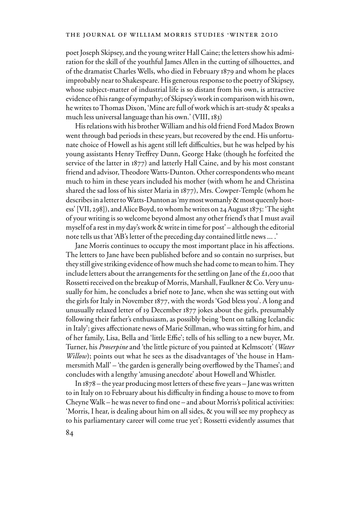poet Joseph Skipsey, and the young writer Hall Caine; the letters show his admiration for the skill of the youthful James Allen in the cutting of silhouettes, and of the dramatist Charles Wells, who died in February 1879 and whom he places improbably near to Shakespeare. His generous response to the poetry of Skipsey, whose subject-matter of industrial life is so distant from his own, is attractive evidence of his range of sympathy; of Skipsey's work in comparison with his own, he writes to Thomas Dixon, 'Mine are full of work which is art-study & speaks a much less universal language than his own.' (VIII, 183)

His relations with his brother William and his old friend Ford Madox Brown went through bad periods in these years, but recovered by the end. His unfortunate choice of Howell as his agent still left difficulties, but he was helped by his young assistants Henry Treffrey Dunn, George Hake (though he forfeited the service of the latter in 1877) and latterly Hall Caine, and by his most constant friend and advisor, Theodore Watts-Dunton. Other correspondents who meant much to him in these years included his mother (with whom he and Christina shared the sad loss of his sister Maria in 1877), Mrs. Cowper-Temple (whom he describes in a letter to Watts-Dunton as 'my most womanly & most queenly hostess' [VII, 298]), and Alice Boyd, to whom he writes on 24 August 1875: 'The sight of your writing is so welcome beyond almost any other friend's that I must avail myself of a rest in my day's work & write in time for post' – although the editorial note tells us that 'AB's letter of the preceding day contained little news ... .'

Jane Morris continues to occupy the most important place in his affections. The letters to Jane have been published before and so contain no surprises, but they still give striking evidence of how much she had come to mean to him. They include letters about the arrangements for the settling on Jane of the £1,000 that Rossetti received on the breakup of Morris, Marshall, Faulkner & Co. Very unusually for him, he concludes a brief note to Jane, when she was setting out with the girls for Italy in November 1877, with the words 'God bless you'. A long and unusually relaxed letter of 19 December 1877 jokes about the girls, presumably following their father's enthusiasm, as possibly being 'bent on talking Icelandic in Italy'; gives affectionate news of Marie Stillman, who was sitting for him, and of her family, Lisa, Bella and 'little Effie'; tells of his selling to a new buyer, Mr. Turner, his *Proserpine* and 'the little picture of you painted at Kelmscott' (*Water Willow*); points out what he sees as the disadvantages of 'the house in Hammersmith Mall' – 'the garden is generally being overflowed by the Thames'; and concludes with a lengthy 'amusing anecdote' about Howell and Whistler.

In  $1878$  – the year producing most letters of these five years – Jane was written to in Italy on 10 February about his difficulty in finding a house to move to from Cheyne Walk – he was never to find one – and about Morris's political activities: 'Morris, I hear, is dealing about him on all sides, & you will see my prophecy as to his parliamentary career will come true yet'; Rossetti evidently assumes that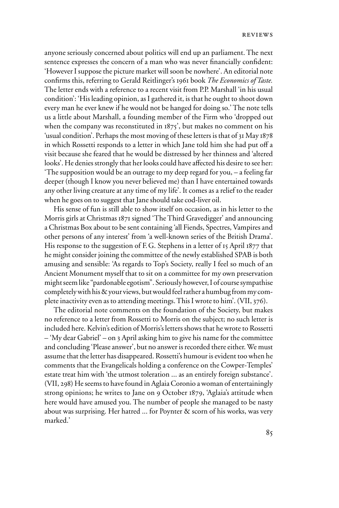anyone seriously concerned about politics will end up an parliament. The next sentence expresses the concern of a man who was never financially confident: 'However I suppose the picture market will soon be nowhere'. An editorial note confirms this, referring to Gerald Reitlinger's 1961 book *The Economics of Taste*. The letter ends with a reference to a recent visit from P.P. Marshall 'in his usual condition': 'His leading opinion, as I gathered it, is that he ought to shoot down every man he ever knew if he would not be hanged for doing so.' The note tells us a little about Marshall, a founding member of the Firm who 'dropped out when the company was reconstituted in  $1875'$ , but makes no comment on his 'usual condition'. Perhaps the most moving of these letters is that of 31 May 1878 in which Rossetti responds to a letter in which Jane told him she had put off a visit because she feared that he would be distressed by her thinness and 'altered looks'. He denies strongly that her looks could have affected his desire to see her: 'The supposition would be an outrage to my deep regard for you, – a feeling far deeper (though I know you never believed me) than I have entertained towards any other living creature at any time of my life'. It comes as a relief to the reader when he goes on to suggest that Jane should take cod-liver oil.

His sense of fun is still able to show itself on occasion, as in his letter to the Morris girls at Christmas 1871 signed 'The Third Gravedigger' and announcing a Christmas Box about to be sent containing 'all Fiends, Spectres, Vampires and other persons of any interest' from 'a well-known series of the British Drama'. His response to the suggestion of F.G. Stephens in a letter of 15 April 1877 that he might consider joining the committee of the newly established SPAB is both amusing and sensible: 'As regards to Top's Society, really I feel so much of an Ancient Monument myself that to sit on a committee for my own preservation might seem like "pardonable egotism". Seriously however, I of course sympathise completely with his & your views, but would feel rather a humbug from my complete inactivity even as to attending meetings. This I wrote to him'. (VII, 376).

The editorial note comments on the foundation of the Society, but makes no reference to a letter from Rossetti to Morris on the subject; no such letter is included here. Kelvin's edition of Morris's letters shows that he wrote to Rossetti – 'My dear Gabriel' – on 3 April asking him to give his name for the committee and concluding 'Please answer', but no answer is recorded there either. We must assume that the letter has disappeared. Rossetti's humour is evident too when he comments that the Evangelicals holding a conference on the Cowper-Temples' estate treat him with 'the utmost toleration ... as an entirely foreign substance'. (VII, 298) He seems to have found in Aglaia Coronio a woman of entertainingly strong opinions; he writes to Jane on 9 October 1879, 'Aglaia's attitude when here would have amused you. The number of people she managed to be nasty about was surprising. Her hatred ... for Poynter & scorn of his works, was very marked.'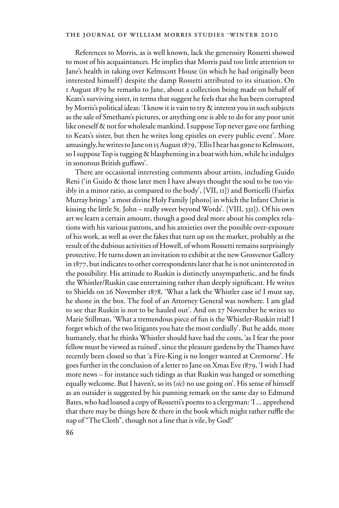## THE JOURNAL OF WILLIAM MORRIS STUDIES .WINTER 2010

References to Morris, as is well known, lack the generosity Rossetti showed to most of his acquaintances. He implies that Morris paid too little attention to Jane's health in taking over Kelmscott House (in which he had originally been interested himself) despite the damp Rossetti attributed to its situation. On 1 August 1879 he remarks to Jane, about a collection being made on behalf of Keats's surviving sister, in terms that suggest he feels that she has been corrupted by Morris's political ideas: 'I know it is vain to try & interest you in such subjects as the sale of Smetham's pictures, or anything one is able to do for any poor unit like oneself & not for wholesale mankind. I suppose Top never gave one farthing to Keats's sister, but then he writes long epistles on every public event'. More amusingly, he writes to Jane on 15 August 1879, 'Ellis I hear has gone to Kelmscott, so I suppose Top is tugging & blaspheming in a boat with him, while he indulges in sonorous British guffaws'.

There are occasional interesting comments about artists, including Guido Reni ('in Guido & those later men I have always thought the soul to be too visibly in a minor ratio, as compared to the body', [VII, 11]) and Botticelli (Fairfax Murray brings ' a most divine Holy Family [photo] in which the Infant Christ is kissing the little St. John – really sweet beyond Words'. [VIII, 331]). Of his own art we learn a certain amount, though a good deal more about his complex relations with his various patrons, and his anxieties over the possible over-exposure of his work, as well as over the fakes that turn up on the market, probably as the result of the dubious activities of Howell, of whom Rossetti remains surprisingly protective. He turns down an invitation to exhibit at the new Grosvenor Gallery in 1877, but indicates to other correspondents later that he is not uninterested in the possibility. His attitude to Ruskin is distinctly unsympathetic, and he finds the Whistler/Ruskin case entertaining rather than deeply significant. He writes to Shields on 26 November 1878, 'What a lark the Whistler case is! I must say, he shone in the box. The fool of an Attorney General was nowhere. I am glad to see that Ruskin is not to be hauled out'. And on 27 November he writes to Marie Stillman, 'What a tremendous piece of fun is the Whistler-Ruskin trial! I forget which of the two litigants you hate the most cordially'. But he adds, more humanely, that he thinks Whistler should have had the costs, 'as I fear the poor fellow must be viewed as ruined', since the pleasure gardens by the Thames have recently been closed so that 'a Fire-King is no longer wanted at Cremorne'. He goes further in the conclusion of a letter to Jane on Xmas Eve 1879, 'I wish I had more news – for instance such tidings as that Ruskin was hanged or something equally welcome. But I haven't, so its (*sic*) no use going on'. His sense of himself as an outsider is suggested by his punning remark on the same day to Edmund Bates, who had loaned a copy of Rossetti's poems to a clergyman: 'I ... apprehend that there may be things here  $\&$  there in the book which might rather ruffle the nap of "The Cloth", though not a line that is vile, by God!'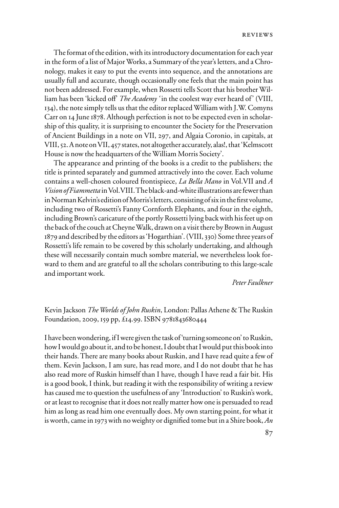The format of the edition, with its introductory documentation for each year in the form of a list of Major Works, a Summary of the year's letters, and a Chronology, makes it easy to put the events into sequence, and the annotations are usually full and accurate, though occasionally one feels that the main point has not been addressed. For example, when Rossetti tells Scott that his brother William has been 'kicked off' *The Academy* 'in the coolest way ever heard of' (VIII, 134), the note simply tells us that the editor replaced William with J.W. Comyns Carr on 14 June 1878. Although perfection is not to be expected even in scholarship of this quality, it is surprising to encounter the Society for the Preservation of Ancient Buildings in a note on VII, 297, and Algaia Coronio, in capitals, at VIII, 52. A note on VII, 457 states, not altogether accurately, alas!, that 'Kelmscott House is now the headquarters of the William Morris Society'.

The appearance and printing of the books is a credit to the publishers; the title is printed separately and gummed attractively into the cover. Each volume contains a well-chosen coloured frontispiece, *La Bella Mano* in Vol.VII and *A Vision of Fiammetta* in Vol.VIII. The black-and-white illustrations are fewer than in Norman Kelvin's edition of Morris's letters, consisting of six in the first volume, including two of Rossetti's Fanny Cornforth Elephants, and four in the eighth, including Brown's caricature of the portly Rossetti lying back with his feet up on the back of the couch at Cheyne Walk, drawn on a visit there by Brown in August 1879 and described by the editors as 'Hogarthian'. (VIII, 330) Some three years of Rossetti's life remain to be covered by this scholarly undertaking, and although these will necessarily contain much sombre material, we nevertheless look forward to them and are grateful to all the scholars contributing to this large-scale and important work.

#### *Peter Faulkner*

## Kevin Jackson *The Worlds of John Ruskin*, London: Pallas Athene & The Ruskin Foundation, 2009, 159 pp, £14.99. ISBN 9781843680444

I have been wondering, if I were given the task of 'turning someone on' to Ruskin, how I would go about it, and to be honest, I doubt that I would put this book into their hands. There are many books about Ruskin, and I have read quite a few of them. Kevin Jackson, I am sure, has read more, and I do not doubt that he has also read more of Ruskin himself than I have, though I have read a fair bit. His is a good book, I think, but reading it with the responsibility of writing a review has caused me to question the usefulness of any 'Introduction' to Ruskin's work, or at least to recognise that it does not really matter how one is persuaded to read him as long as read him one eventually does. My own starting point, for what it is worth, came in 1973 with no weighty or dignified tome but in a Shire book, *An*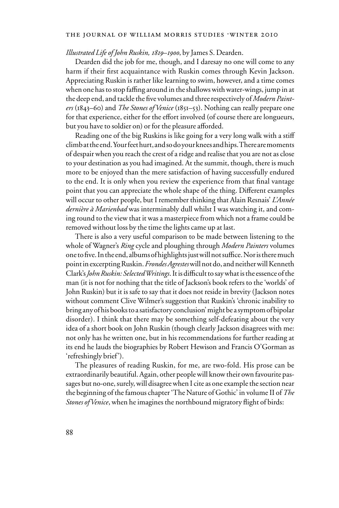#### THE JOURNAL OF WILLIAM MORRIS STUDIES . WINTER 2010

#### *Illustrated Life of John Ruskin, 1819–1900*, by James S. Dearden.

Dearden did the job for me, though, and I daresay no one will come to any harm if their first acquaintance with Ruskin comes through Kevin Jackson. Appreciating Ruskin is rather like learning to swim, however, and a time comes when one has to stop faffing around in the shallows with water-wings, jump in at the deep end, and tackle the five volumes and three respectively of *Modern Painters* (1843–60) and *The Stones of Venice* (1851–53). Nothing can really prepare one for that experience, either for the effort involved (of course there are longueurs, but you have to soldier on) or for the pleasure afforded.

Reading one of the big Ruskins is like going for a very long walk with a stiff climb at the end. Your feet hurt, and so do your knees and hips. There are moments of despair when you reach the crest of a ridge and realise that you are not as close to your destination as you had imagined. At the summit, though, there is much more to be enjoyed than the mere satisfaction of having successfully endured to the end. It is only when you review the experience from that final vantage point that you can appreciate the whole shape of the thing. Different examples will occur to other people, but I remember thinking that Alain Resnais' *L'Année dernière à Marienbad* was interminably dull whilst I was watching it, and coming round to the view that it was a masterpiece from which not a frame could be removed without loss by the time the lights came up at last.

There is also a very useful comparison to be made between listening to the whole of Wagner's *Ring* cycle and ploughing through *Modern Painters* volumes one to five. In the end, albums of highlights just will not suffice. Nor is there much point in excerpting Ruskin. *Frondes Agrestes* will not do, and neither will Kenneth Clark's *John Ruskin: Selected Writings*. It is difficult to say what is the essence of the man (it is not for nothing that the title of Jackson's book refers to the 'worlds' of John Ruskin) but it is safe to say that it does not reside in brevity (Jackson notes without comment Clive Wilmer's suggestion that Ruskin's 'chronic inability to bring any of his books to a satisfactory conclusion' might be a symptom of bipolar disorder). I think that there may be something self-defeating about the very idea of a short book on John Ruskin (though clearly Jackson disagrees with me: not only has he written one, but in his recommendations for further reading at its end he lauds the biographies by Robert Hewison and Francis O'Gorman as 'refreshingly brief').

The pleasures of reading Ruskin, for me, are two-fold. His prose can be extraordinarily beautiful. Again, other people will know their own favourite passages but no-one, surely, will disagree when I cite as one example the section near the beginning of the famous chapter 'The Nature of Gothic' in volume II of *The Stones of Venice*, when he imagines the northbound migratory flight of birds: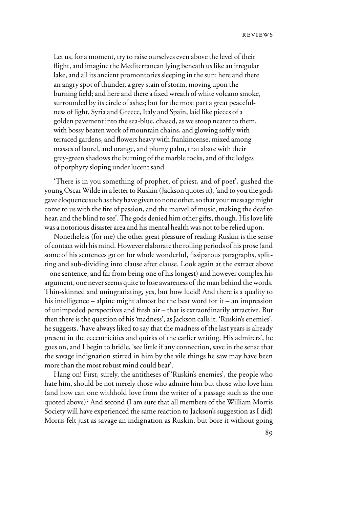Let us, for a moment, try to raise ourselves even above the level of their flight, and imagine the Mediterranean lying beneath us like an irregular lake, and all its ancient promontories sleeping in the sun: here and there an angry spot of thunder, a grey stain of storm, moving upon the burning field; and here and there a fixed wreath of white volcano smoke, surrounded by its circle of ashes; but for the most part a great peacefulness of light, Syria and Greece, Italy and Spain, laid like pieces of a golden pavement into the sea-blue, chased, as we stoop nearer to them, with bossy beaten work of mountain chains, and glowing softly with terraced gardens, and flowers heavy with frankincense, mixed among masses of laurel, and orange, and plumy palm, that abate with their grey-green shadows the burning of the marble rocks, and of the ledges of porphyry sloping under lucent sand.

'There is in you something of prophet, of priest, and of poet', gushed the young Oscar Wilde in a letter to Ruskin (Jackson quotes it), 'and to you the gods gave eloquence such as they have given to none other, so that your message might come to us with the fire of passion, and the marvel of music, making the deaf to hear, and the blind to see'. The gods denied him other gifts, though. His love life was a notorious disaster area and his mental health was not to be relied upon.

Nonetheless (for me) the other great pleasure of reading Ruskin is the sense of contact with his mind. However elaborate the rolling periods of his prose (and some of his sentences go on for whole wonderful, fissiparous paragraphs, splitting and sub-dividing into clause after clause. Look again at the extract above – one sentence, and far from being one of his longest) and however complex his argument, one never seems quite to lose awareness of the man behind the words. Thin-skinned and uningratiating, yes, but how lucid! And there is a quality to his intelligence – alpine might almost be the best word for it – an impression of unimpeded perspectives and fresh air – that is extraordinarily attractive. But then there is the question of his 'madness', as Jackson calls it. 'Ruskin's enemies', he suggests, 'have always liked to say that the madness of the last years is already present in the eccentricities and quirks of the earlier writing. His admirers', he goes on, and I begin to bridle, 'see little if any connection, save in the sense that the savage indignation stirred in him by the vile things he saw may have been more than the most robust mind could bear'.

Hang on! First, surely, the antitheses of 'Ruskin's enemies', the people who hate him, should be not merely those who admire him but those who love him (and how can one withhold love from the writer of a passage such as the one quoted above)? And second (I am sure that all members of the William Morris Society will have experienced the same reaction to Jackson's suggestion as I did) Morris felt just as savage an indignation as Ruskin, but bore it without going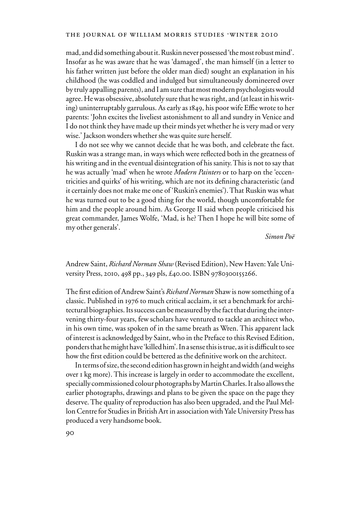mad, and did something about it. Ruskin never possessed 'the most robust mind'. Insofar as he was aware that he was 'damaged', the man himself (in a letter to his father written just before the older man died) sought an explanation in his childhood (he was coddled and indulged but simultaneously domineered over by truly appalling parents), and I am sure that most modern psychologists would agree. He was obsessive, absolutely sure that he was right, and (at least in his writing) uninterruptably garrulous. As early as 1849, his poor wife Effie wrote to her parents: 'John excites the liveliest astonishment to all and sundry in Venice and I do not think they have made up their minds yet whether he is very mad or very wise.' Jackson wonders whether she was quite sure herself.

I do not see why we cannot decide that he was both, and celebrate the fact. Ruskin was a strange man, in ways which were reflected both in the greatness of his writing and in the eventual disintegration of his sanity. This is not to say that he was actually 'mad' when he wrote *Modern Painters* or to harp on the 'eccentricities and quirks' of his writing, which are not its defining characteristic (and it certainly does not make me one of 'Ruskin's enemies'). That Ruskin was what he was turned out to be a good thing for the world, though uncomfortable for him and the people around him. As George II said when people criticised his great commander, James Wolfe, 'Mad, is he? Then I hope he will bite some of my other generals'.

*Simon Poë*

Andrew Saint, *Richard Norman Shaw* (Revised Edition), New Haven: Yale University Press, 2010, 498 pp., 349 pls, £40.00. ISBN 9780300155266.

The first edition of Andrew Saint's *Richard Norman* Shaw is now something of a classic. Published in 1976 to much critical acclaim, it set a benchmark for architectural biographies. Its success can be measured by the fact that during the intervening thirty-four years, few scholars have ventured to tackle an architect who, in his own time, was spoken of in the same breath as Wren. This apparent lack of interest is acknowledged by Saint, who in the Preface to this Revised Edition, ponders that he might have 'killed him'. In a sense this is true, as it is difficult to see how the first edition could be bettered as the definitive work on the architect.

In terms of size, the second edition has grown in height and width (and weighs over 1 kg more). This increase is largely in order to accommodate the excellent, specially commissioned colour photographs by Martin Charles. It also allows the earlier photographs, drawings and plans to be given the space on the page they deserve. The quality of reproduction has also been upgraded, and the Paul Mellon Centre for Studies in British Art in association with Yale University Press has produced a very handsome book.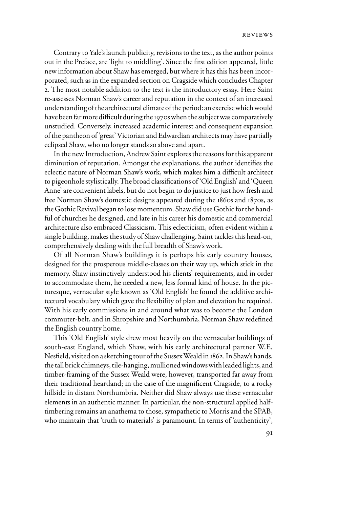Contrary to Yale's launch publicity, revisions to the text, as the author points out in the Preface, are 'light to middling'. Since the first edition appeared, little new information about Shaw has emerged, but where it has this has been incorporated, such as in the expanded section on Cragside which concludes Chapter 2. The most notable addition to the text is the introductory essay. Here Saint re-assesses Norman Shaw's career and reputation in the context of an increased understanding of the architectural climate of the period: an exercise which would have been far more difficult during the 1970s when the subject was comparatively unstudied. Conversely, increased academic interest and consequent expansion of the pantheon of 'great' Victorian and Edwardian architects may have partially eclipsed Shaw, who no longer stands so above and apart.

In the new Introduction, Andrew Saint explores the reasons for this apparent diminution of reputation. Amongst the explanations, the author identifies the eclectic nature of Norman Shaw's work, which makes him a difficult architect to pigeonhole stylistically. The broad classifications of 'Old English' and 'Queen Anne' are convenient labels, but do not begin to do justice to just how fresh and free Norman Shaw's domestic designs appeared during the 1860s and 1870s, as the Gothic Revival began to lose momentum. Shaw did use Gothic for the handful of churches he designed, and late in his career his domestic and commercial architecture also embraced Classicism. This eclecticism, often evident within a single building, makes the study of Shaw challenging. Saint tackles this head-on, comprehensively dealing with the full breadth of Shaw's work.

Of all Norman Shaw's buildings it is perhaps his early country houses, designed for the prosperous middle-classes on their way up, which stick in the memory. Shaw instinctively understood his clients' requirements, and in order to accommodate them, he needed a new, less formal kind of house. In the picturesque, vernacular style known as 'Old English' he found the additive architectural vocabulary which gave the flexibility of plan and elevation he required. With his early commissions in and around what was to become the London commuter-belt, and in Shropshire and Northumbria, Norman Shaw redefined the English country home.

This 'Old English' style drew most heavily on the vernacular buildings of south-east England, which Shaw, with his early architectural partner W.E. Nesfield, visited on a sketching tour of the Sussex Weald in 1862. In Shaw's hands, the tall brick chimneys, tile-hanging, mullioned windows with leaded lights, and timber-framing of the Sussex Weald were, however, transported far away from their traditional heartland; in the case of the magnificent Cragside, to a rocky hillside in distant Northumbria. Neither did Shaw always use these vernacular elements in an authentic manner. In particular, the non-structural applied halftimbering remains an anathema to those, sympathetic to Morris and the SPAB, who maintain that 'truth to materials' is paramount. In terms of 'authenticity',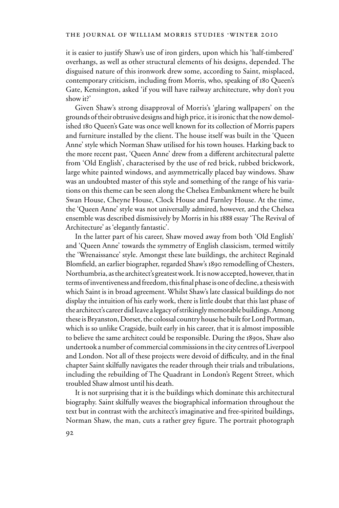it is easier to justify Shaw's use of iron girders, upon which his 'half-timbered' overhangs, as well as other structural elements of his designs, depended. The disguised nature of this ironwork drew some, according to Saint, misplaced, contemporary criticism, including from Morris, who, speaking of 180 Queen's Gate, Kensington, asked 'if you will have railway architecture, why don't you show it?'

Given Shaw's strong disapproval of Morris's 'glaring wallpapers' on the grounds of their obtrusive designs and high price, it is ironic that the now demolished 180 Queen's Gate was once well known for its collection of Morris papers and furniture installed by the client. The house itself was built in the 'Queen Anne' style which Norman Shaw utilised for his town houses. Harking back to the more recent past, 'Queen Anne' drew from a different architectural palette from 'Old English', characterised by the use of red brick, rubbed brickwork, large white painted windows, and asymmetrically placed bay windows. Shaw was an undoubted master of this style and something of the range of his variations on this theme can be seen along the Chelsea Embankment where he built Swan House, Cheyne House, Clock House and Farnley House. At the time, the 'Queen Anne' style was not universally admired, however, and the Chelsea ensemble was described dismissively by Morris in his 1888 essay 'The Revival of Architecture' as 'elegantly fantastic'.

In the latter part of his career, Shaw moved away from both 'Old English' and 'Queen Anne' towards the symmetry of English classicism, termed wittily the 'Wrenaissance' style. Amongst these late buildings, the architect Reginald Blomfield, an earlier biographer, regarded Shaw's 1890 remodelling of Chesters, Northumbria, as the architect's greatest work. It is now accepted, however, that in terms of inventiveness and freedom, this final phase is one of decline, a thesis with which Saint is in broad agreement. Whilst Shaw's late classical buildings do not display the intuition of his early work, there is little doubt that this last phase of the architect's career did leave a legacy of strikingly memorable buildings. Among these is Bryanston, Dorset, the colossal country house he built for Lord Portman, which is so unlike Cragside, built early in his career, that it is almost impossible to believe the same architect could be responsible. During the 1890s, Shaw also undertook a number of commercial commissions in the city centres of Liverpool and London. Not all of these projects were devoid of difficulty, and in the final chapter Saint skilfully navigates the reader through their trials and tribulations, including the rebuilding of The Quadrant in London's Regent Street, which troubled Shaw almost until his death.

It is not surprising that it is the buildings which dominate this architectural biography. Saint skilfully weaves the biographical information throughout the text but in contrast with the architect's imaginative and free-spirited buildings, Norman Shaw, the man, cuts a rather grey figure. The portrait photograph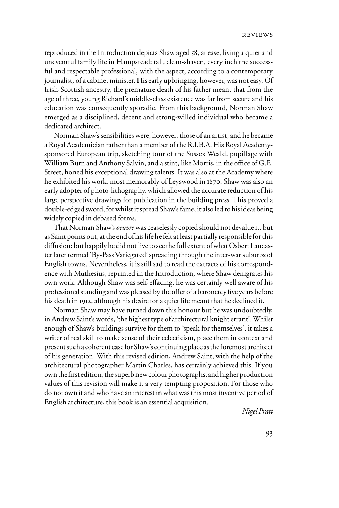reproduced in the Introduction depicts Shaw aged 58, at ease, living a quiet and uneventful family life in Hampstead; tall, clean-shaven, every inch the successful and respectable professional, with the aspect, according to a contemporary journalist, of a cabinet minister. His early upbringing, however, was not easy. Of Irish-Scottish ancestry, the premature death of his father meant that from the age of three, young Richard's middle-class existence was far from secure and his education was consequently sporadic. From this background, Norman Shaw emerged as a disciplined, decent and strong-willed individual who became a dedicated architect.

Norman Shaw's sensibilities were, however, those of an artist, and he became a Royal Academician rather than a member of the R.I.B.A. His Royal Academysponsored European trip, sketching tour of the Sussex Weald, pupillage with William Burn and Anthony Salvin, and a stint, like Morris, in the office of G.E. Street, honed his exceptional drawing talents. It was also at the Academy where he exhibited his work, most memorably of Leyswood in 1870. Shaw was also an early adopter of photo-lithography, which allowed the accurate reduction of his large perspective drawings for publication in the building press. This proved a double-edged sword, for whilst it spread Shaw's fame, it also led to his ideas being widely copied in debased forms.

That Norman Shaw's *oeuvre* was ceaselessly copied should not devalue it, but as Saint points out, at the end of his life he felt at least partially responsible for this diffusion: but happily he did not live to see the full extent of what Osbert Lancaster later termed 'By-Pass Variegated' spreading through the inter-war suburbs of English towns. Nevertheless, it is still sad to read the extracts of his correspondence with Muthesius, reprinted in the Introduction, where Shaw denigrates his own work. Although Shaw was self-effacing, he was certainly well aware of his professional standing and was pleased by the offer of a baronetcy five years before his death in 1912, although his desire for a quiet life meant that he declined it.

Norman Shaw may have turned down this honour but he was undoubtedly, in Andrew Saint's words, 'the highest type of architectural knight errant'. Whilst enough of Shaw's buildings survive for them to 'speak for themselves', it takes a writer of real skill to make sense of their eclecticism, place them in context and present such a coherent case for Shaw's continuing place as the foremost architect of his generation. With this revised edition, Andrew Saint, with the help of the architectural photographer Martin Charles, has certainly achieved this. If you own the first edition, the superb new colour photographs, and higher production values of this revision will make it a very tempting proposition. For those who do not own it and who have an interest in what was this most inventive period of English architecture, this book is an essential acquisition.

*Nigel Pratt*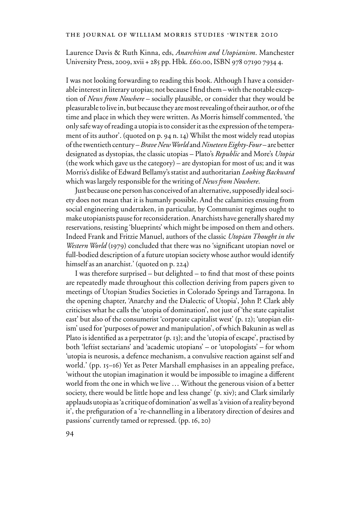Laurence Davis & Ruth Kinna, eds, *Anarchism and Utopianism*. Manchester University Press, 2009, xvii + 285 pp. Hbk. £60.00, ISBN 978 07190 7934 4.

I was not looking forwarding to reading this book. Although I have a considerable interest in literary utopias; not because I find them – with the notable exception of *News from Nowhere* – socially plausible, or consider that they would be pleasurable to live in, but because they are most revealing of their author, or of the time and place in which they were written. As Morris himself commented, 'the only safe way of reading a utopia is to consider it as the expression of the temperament of its author'. (quoted on p. 94 n. 14) Whilst the most widely read utopias of the twentieth century – *Brave New World* and *Nineteen Eighty-Four* – are better designated as dystopias, the classic utopias – Plato's *Republic* and More's *Utopia* (the work which gave us the category) – are dystopian for most of us; and it was Morris's dislike of Edward Bellamy's statist and authoritarian *Looking Backward* which was largely responsible for the writing of *News from Nowhere*.

Just because one person has conceived of an alternative, supposedly ideal society does not mean that it is humanly possible. And the calamities ensuing from social engineering undertaken, in particular, by Communist regimes ought to make utopianists pause for reconsideration. Anarchists have generally shared my reservations, resisting 'blueprints' which might be imposed on them and others. Indeed Frank and Fritzie Manuel, authors of the classic *Utopian Thought in the Western World* (1979) concluded that there was no 'significant utopian novel or full-bodied description of a future utopian society whose author would identify himself as an anarchist.' (quoted on p. 224)

I was therefore surprised  $-$  but delighted  $-$  to find that most of these points are repeatedly made throughout this collection deriving from papers given to meetings of Utopian Studies Societies in Colorado Springs and Tarragona. In the opening chapter, 'Anarchy and the Dialectic of Utopia', John P. Clark ably criticises what he calls the 'utopia of domination', not just of 'the state capitalist east' but also of the consumerist 'corporate capitalist west' (p. 12); 'utopian elitism' used for 'purposes of power and manipulation', of which Bakunin as well as Plato is identified as a perpetrator (p. 13); and the 'utopia of escape', practised by both 'leftist sectarians' and 'academic utopians' – or 'utopologists' – for whom 'utopia is neurosis, a defence mechanism, a convulsive reaction against self and world.' (pp. 15–16) Yet as Peter Marshall emphasises in an appealing preface, 'without the utopian imagination it would be impossible to imagine a different world from the one in which we live … Without the generous vision of a better society, there would be little hope and less change' (p. xiv); and Clark similarly applauds utopia as 'a critique of domination' as well as 'a vision of a reality beyond it', the prefiguration of a 're-channelling in a liberatory direction of desires and passions' currently tamed or repressed. (pp. 16, 20)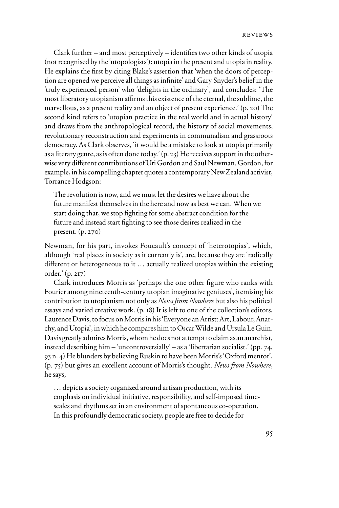Clark further – and most perceptively – identifies two other kinds of utopia (not recognised by the 'utopologists'): utopia in the present and utopia in reality. He explains the first by citing Blake's assertion that 'when the doors of perception are opened we perceive all things as infinite' and Gary Snyder's belief in the 'truly experienced person' who 'delights in the ordinary', and concludes: 'The most liberatory utopianism affirms this existence of the eternal, the sublime, the marvellous, as a present reality and an object of present experience.' (p. 20) The second kind refers to 'utopian practice in the real world and in actual history' and draws from the anthropological record, the history of social movements, revolutionary reconstruction and experiments in communalism and grassroots democracy. As Clark observes, 'it would be a mistake to look at utopia primarily as a literary genre, as is often done today.' (p. 23) He receives support in the otherwise very different contributions of Uri Gordon and Saul Newman. Gordon, for example, in his compelling chapter quotes a contemporary New Zealand activist, Torrance Hodgson:

The revolution is now, and we must let the desires we have about the future manifest themselves in the here and now as best we can. When we start doing that, we stop fighting for some abstract condition for the future and instead start fighting to see those desires realized in the present. (p. 270)

Newman, for his part, invokes Foucault's concept of 'heterotopias', which, although 'real places in society as it currently is', are, because they are 'radically different or heterogeneous to it  $\ldots$  actually realized utopias within the existing order.' (p. 217)

Clark introduces Morris as 'perhaps the one other figure who ranks with Fourier among nineteenth-century utopian imaginative geniuses', itemising his contribution to utopianism not only as *News from Nowhere* but also his political essays and varied creative work. (p. 18) It is left to one of the collection's editors, Laurence Davis, to focus on Morris in his 'Everyone an Artist: Art, Labour, Anarchy, and Utopia', in which he compares him to Oscar Wilde and Ursula Le Guin. Davis greatly admires Morris, whom he does not attempt to claim as an anarchist, instead describing him – 'uncontroversially' – as a 'libertarian socialist.' (pp. 74, 93 n. 4) He blunders by believing Ruskin to have been Morris's 'Oxford mentor', (p. 75) but gives an excellent account of Morris's thought. *News from Nowhere*, he says,

… depicts a society organized around artisan production, with its emphasis on individual initiative, responsibility, and self-imposed timescales and rhythms set in an environment of spontaneous co-operation. In this profoundly democratic society, people are free to decide for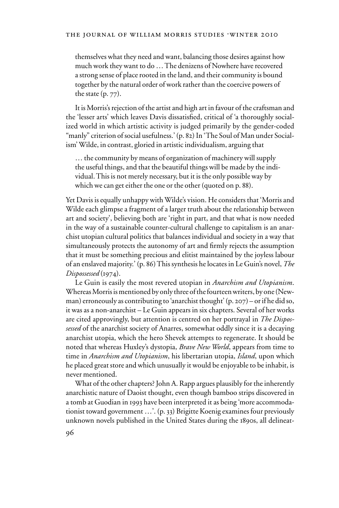themselves what they need and want, balancing those desires against how much work they want to do … The denizens of Nowhere have recovered a strong sense of place rooted in the land, and their community is bound together by the natural order of work rather than the coercive powers of the state (p. 77).

It is Morris's rejection of the artist and high art in favour of the craftsman and the 'lesser arts' which leaves Davis dissatisfied, critical of 'a thoroughly socialized world in which artistic activity is judged primarily by the gender-coded "manly" criterion of social usefulness.' (p. 82) In 'The Soul of Man under Socialism' Wilde, in contrast, gloried in artistic individualism, arguing that

… the community by means of organization of machinery will supply the useful things, and that the beautiful things will be made by the individual. This is not merely necessary, but it is the only possible way by which we can get either the one or the other (quoted on p. 88).

Yet Davis is equally unhappy with Wilde's vision. He considers that 'Morris and Wilde each glimpse a fragment of a larger truth about the relationship between art and society', believing both are 'right in part, and that what is now needed in the way of a sustainable counter-cultural challenge to capitalism is an anarchist utopian cultural politics that balances individual and society in a way that simultaneously protects the autonomy of art and firmly rejects the assumption that it must be something precious and elitist maintained by the joyless labour of an enslaved majority.' (p. 86) This synthesis he locates in Le Guin's novel, *The Dispossessed* (1974).

Le Guin is easily the most revered utopian in *Anarchism and Utopianism*. Whereas Morris is mentioned by only three of the fourteen writers, by one (Newman) erroneously as contributing to 'anarchist thought' (p. 207) – or if he did so, it was as a non-anarchist – Le Guin appears in six chapters. Several of her works are cited approvingly, but attention is centred on her portrayal in *The Dispossessed* of the anarchist society of Anarres, somewhat oddly since it is a decaying anarchist utopia, which the hero Shevek attempts to regenerate. It should be noted that whereas Huxley's dystopia, *Brave New World*, appears from time to time in *Anarchism and Utopianism*, his libertarian utopia, *Island*, upon which he placed great store and which unusually it would be enjoyable to be inhabit, is never mentioned.

What of the other chapters? John A. Rapp argues plausibly for the inherently anarchistic nature of Daoist thought, even though bamboo strips discovered in a tomb at Guodian in 1993 have been interpreted it as being 'more accommodationist toward government …'. (p. 33) Brigitte Koenig examines four previously unknown novels published in the United States during the 1890s, all delineat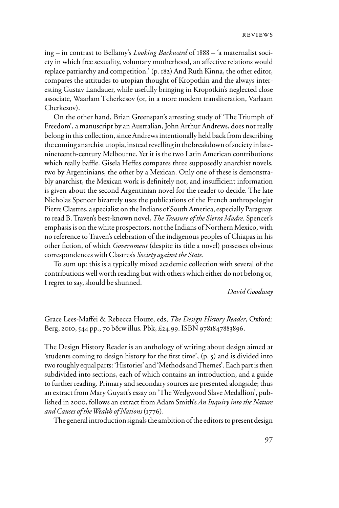ing – in contrast to Bellamy's *Looking Backward* of 1888 – 'a maternalist society in which free sexuality, voluntary motherhood, an affective relations would replace patriarchy and competition.' (p. 182) And Ruth Kinna, the other editor, compares the attitudes to utopian thought of Kropotkin and the always interesting Gustav Landauer, while usefully bringing in Kropotkin's neglected close associate, Waarlam Tcherkesov (or, in a more modern transliteration, Varlaam Cherkezov).

On the other hand, Brian Greenspan's arresting study of 'The Triumph of Freedom', a manuscript by an Australian, John Arthur Andrews, does not really belong in this collection, since Andrews intentionally held back from describing the coming anarchist utopia, instead revelling in the breakdown of society in latenineteenth-century Melbourne. Yet it is the two Latin American contributions which really baffle. Gisela Heffes compares three supposedly anarchist novels, two by Argentinians, the other by a Mexican. Only one of these is demonstrably anarchist, the Mexican work is definitely not, and insufficient information is given about the second Argentinian novel for the reader to decide. The late Nicholas Spencer bizarrely uses the publications of the French anthropologist Pierre Clastres, a specialist on the Indians of South America, especially Paraguay, to read B. Traven's best-known novel, *The Treasure of the Sierra Madre*. Spencer's emphasis is on the white prospectors, not the Indians of Northern Mexico, with no reference to Traven's celebration of the indigenous peoples of Chiapas in his other fiction, of which *Government* (despite its title a novel) possesses obvious correspondences with Clastres's *Society against the State*.

To sum up: this is a typically mixed academic collection with several of the contributions well worth reading but with others which either do not belong or, I regret to say, should be shunned.

*David Goodway*

Grace Lees-Maffei & Rebecca Houze, eds, *The Design History Reader*, Oxford: Berg, 2010, 544 pp., 70 b&w illus. Pbk, £24.99. ISBN 9781847883896.

The Design History Reader is an anthology of writing about design aimed at 'students coming to design history for the first time',  $(p, \zeta)$  and is divided into two roughly equal parts: 'Histories' and 'Methods and Themes'. Each part is then subdivided into sections, each of which contains an introduction, and a guide to further reading. Primary and secondary sources are presented alongside; thus an extract from Mary Guyatt's essay on 'The Wedgwood Slave Medallion', published in 2000, follows an extract from Adam Smith's *An Inquiry into the Nature and Causes of the Wealth of Nations* (1776).

The general introduction signals the ambition of the editors to present design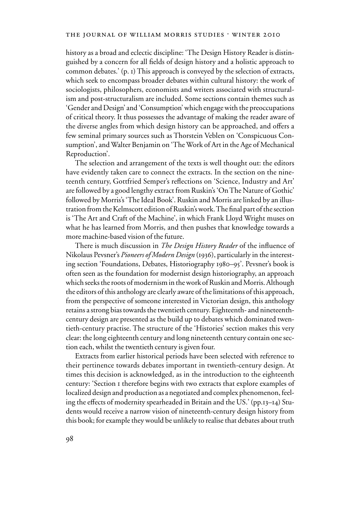history as a broad and eclectic discipline: 'The Design History Reader is distinguished by a concern for all fields of design history and a holistic approach to common debates.' (p. 1) This approach is conveyed by the selection of extracts, which seek to encompass broader debates within cultural history: the work of sociologists, philosophers, economists and writers associated with structuralism and post-structuralism are included. Some sections contain themes such as 'Gender and Design' and 'Consumption' which engage with the preoccupations of critical theory. It thus possesses the advantage of making the reader aware of the diverse angles from which design history can be approached, and offers a few seminal primary sources such as Thorstein Veblen on 'Conspicuous Consumption', and Walter Benjamin on 'The Work of Art in the Age of Mechanical Reproduction'.

The selection and arrangement of the texts is well thought out: the editors have evidently taken care to connect the extracts. In the section on the nineteenth century, Gottfried Semper's reflections on 'Science, Industry and Art' are followed by a good lengthy extract from Ruskin's 'On The Nature of Gothic' followed by Morris's 'The Ideal Book'. Ruskin and Morris are linked by an illustration from the Kelmscott edition of Ruskin's work. The final part of the section is 'The Art and Craft of the Machine', in which Frank Lloyd Wright muses on what he has learned from Morris, and then pushes that knowledge towards a more machine-based vision of the future.

There is much discussion in *The Design History Reader* of the influence of Nikolaus Pevsner's *Pioneers of Modern Design* (1936), particularly in the interesting section 'Foundations, Debates, Historiography 1980–95'. Pevsner's book is often seen as the foundation for modernist design historiography, an approach which seeks the roots of modernism in the work of Ruskin and Morris. Although the editors of this anthology are clearly aware of the limitations of this approach, from the perspective of someone interested in Victorian design, this anthology retains a strong bias towards the twentieth century. Eighteenth- and nineteenthcentury design are presented as the build up to debates which dominated twentieth-century practise. The structure of the 'Histories' section makes this very clear: the long eighteenth century and long nineteenth century contain one section each, whilst the twentieth century is given four.

Extracts from earlier historical periods have been selected with reference to their pertinence towards debates important in twentieth-century design. At times this decision is acknowledged, as in the introduction to the eighteenth century: 'Section 1 therefore begins with two extracts that explore examples of localized design and production as a negotiated and complex phenomenon, feeling the effects of modernity spearheaded in Britain and the US.' (pp. $13-14$ ) Students would receive a narrow vision of nineteenth-century design history from this book; for example they would be unlikely to realise that debates about truth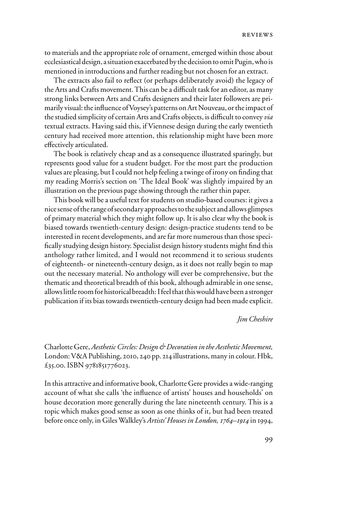to materials and the appropriate role of ornament, emerged within those about ecclesiastical design, a situation exacerbated by the decision to omit Pugin, who is mentioned in introductions and further reading but not chosen for an extract.

The extracts also fail to reflect (or perhaps deliberately avoid) the legacy of the Arts and Crafts movement. This can be a difficult task for an editor, as many strong links between Arts and Crafts designers and their later followers are primarily visual: the influence of Voysey's patterns on Art Nouveau, or the impact of the studied simplicity of certain Arts and Crafts objects, is difficult to convey *via* textual extracts. Having said this, if Viennese design during the early twentieth century had received more attention, this relationship might have been more effectively articulated.

The book is relatively cheap and as a consequence illustrated sparingly, but represents good value for a student budget. For the most part the production values are pleasing, but I could not help feeling a twinge of irony on finding that my reading Morris's section on 'The Ideal Book' was slightly impaired by an illustration on the previous page showing through the rather thin paper.

This book will be a useful text for students on studio-based courses: it gives a nice sense of the range of secondary approaches to the subject and allows glimpses of primary material which they might follow up. It is also clear why the book is biased towards twentieth-century design: design-practice students tend to be interested in recent developments, and are far more numerous than those specifically studying design history. Specialist design history students might find this anthology rather limited, and I would not recommend it to serious students of eighteenth- or nineteenth-century design, as it does not really begin to map out the necessary material. No anthology will ever be comprehensive, but the thematic and theoretical breadth of this book, although admirable in one sense, allows little room for historical breadth: I feel that this would have been a stronger publication if its bias towards twentieth-century design had been made explicit.

## *Jim Cheshire*

Charlotte Gere, *Aesthetic Circles: Design & Decoration in the Aesthetic Movement,*  London: V&A Publishing, 2010, 240 pp. 214 illustrations, many in colour. Hbk, £35.00. ISBN 9781851776023.

In this attractive and informative book, Charlotte Gere provides a wide-ranging account of what she calls 'the influence of artists' houses and households' on house decoration more generally during the late nineteenth century. This is a topic which makes good sense as soon as one thinks of it, but had been treated before once only, in Giles Walkley's *Artists' Houses in London, 1764–1914* in 1994,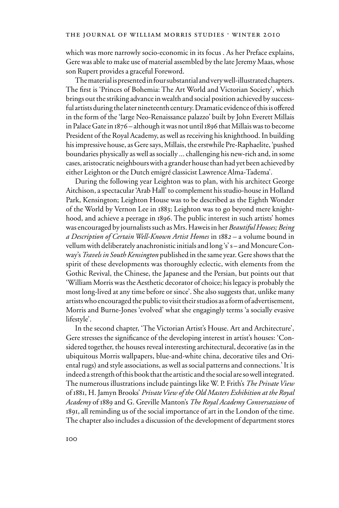which was more narrowly socio-economic in its focus . As her Preface explains, Gere was able to make use of material assembled by the late Jeremy Maas, whose son Rupert provides a graceful Foreword.

The material is presented in four substantial and very well-illustrated chapters. The first is 'Princes of Bohemia: The Art World and Victorian Society', which brings out the striking advance in wealth and social position achieved by successful artists during the later nineteenth century. Dramatic evidence of this is offered in the form of the 'large Neo-Renaissance palazzo' built by John Everett Millais in Palace Gate in 1876 – although it was not until 1896 that Millais was to become President of the Royal Academy, as well as receiving his knighthood. In building his impressive house, as Gere says, Millais, the erstwhile Pre-Raphaelite, 'pushed boundaries physically as well as socially ... challenging his new-rich and, in some cases, aristocratic neighbours with a grander house than had yet been achieved by either Leighton or the Dutch emigré classicist Lawrence Alma-Tadema'.

During the following year Leighton was to plan, with his architect George Aitchison, a spectacular 'Arab Hall' to complement his studio-house in Holland Park, Kensington; Leighton House was to be described as the Eighth Wonder of the World by Vernon Lee in 1883; Leighton was to go beyond mere knighthood, and achieve a peerage in 1896. The public interest in such artists' homes was encouraged by journalists such as Mrs. Haweis in her *Beautiful Houses; Being a Description of Certain Well-Known Artist Homes* in 188*2 –* a volume bound in vellum with deliberately anachronistic initials and long 's' s – and Moncure Conway's *Travels in South Kensington* published in the same year. Gere shows that the spirit of these developments was thoroughly eclectic, with elements from the Gothic Revival, the Chinese, the Japanese and the Persian, but points out that 'William Morris was the Aesthetic decorator of choice; his legacy is probably the most long-lived at any time before or since'. She also suggests that, unlike many artists who encouraged the public to visit their studios as a form of advertisement, Morris and Burne-Jones 'evolved' what she engagingly terms 'a socially evasive lifestyle'.

In the second chapter, 'The Victorian Artist's House. Art and Architecture', Gere stresses the significance of the developing interest in artist's houses: 'Considered together, the houses reveal interesting architectural, decorative (as in the ubiquitous Morris wallpapers, blue-and-white china, decorative tiles and Oriental rugs) and style associations, as well as social patterns and connections.' It is indeed a strength of this book that the artistic and the social are so well integrated. The numerous illustrations include paintings like W. P. Frith's *The Private View*  of 1881, H. Jamyn Brooks' *Private View of the Old Masters Exhibition at the Royal Academy* of 1889 and G. Greville Manton's *The Royal Academy Conversazione* of 1891, all reminding us of the social importance of art in the London of the time. The chapter also includes a discussion of the development of department stores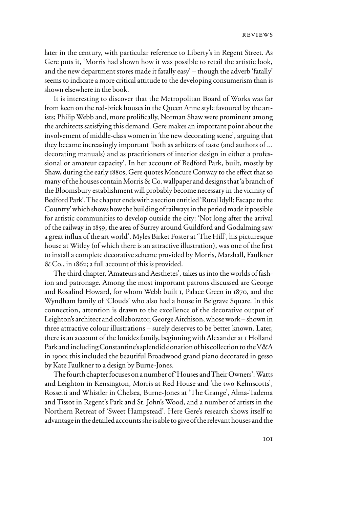later in the century, with particular reference to Liberty's in Regent Street. As Gere puts it, 'Morris had shown how it was possible to retail the artistic look, and the new department stores made it fatally easy' – though the adverb 'fatally' seems to indicate a more critical attitude to the developing consumerism than is shown elsewhere in the book.

It is interesting to discover that the Metropolitan Board of Works was far from keen on the red-brick houses in the Queen Anne style favoured by the artists; Philip Webb and, more prolifically, Norman Shaw were prominent among the architects satisfying this demand. Gere makes an important point about the involvement of middle-class women in 'the new decorating scene', arguing that they became increasingly important 'both as arbiters of taste (and authors of ... decorating manuals) and as practitioners of interior design in either a professional or amateur capacity'. In her account of Bedford Park, built, mostly by Shaw, during the early 1880s, Gere quotes Moncure Conway to the effect that so many of the houses contain Morris & Co. wallpaper and designs that 'a branch of the Bloomsbury establishment will probably become necessary in the vicinity of Bedford Park'. The chapter ends with a section entitled 'Rural Idyll: Escape to the Country' which shows how the building of railways in the period made it possible for artistic communities to develop outside the city: 'Not long after the arrival of the railway in 1859, the area of Surrey around Guildford and Godalming saw a great influx of the art world'. Myles Birket Foster at 'The Hill', his picturesque house at Witley (of which there is an attractive illustration), was one of the first to install a complete decorative scheme provided by Morris, Marshall, Faulkner & Co., in 1862; a full account of this is provided.

The third chapter, 'Amateurs and Aesthetes', takes us into the worlds of fashion and patronage. Among the most important patrons discussed are George and Rosalind Howard, for whom Webb built 1, Palace Green in 1870, and the Wyndham family of 'Clouds' who also had a house in Belgrave Square. In this connection, attention is drawn to the excellence of the decorative output of Leighton's architect and collaborator, George Aitchison, whose work – shown in three attractive colour illustrations – surely deserves to be better known. Later, there is an account of the Ionides family, beginning with Alexander at 1 Holland Park and including Constantine's splendid donation of his collection to the V&A in 1900; this included the beautiful Broadwood grand piano decorated in gesso by Kate Faulkner to a design by Burne-Jones.

The fourth chapter focuses on a number of 'Houses and Their Owners': Watts and Leighton in Kensington, Morris at Red House and 'the two Kelmscotts', Rossetti and Whistler in Chelsea, Burne-Jones at 'The Grange', Alma-Tadema and Tissot in Regent's Park and St. John's Wood, and a number of artists in the Northern Retreat of 'Sweet Hampstead'. Here Gere's research shows itself to advantage in the detailed accounts she is able to give of the relevant houses and the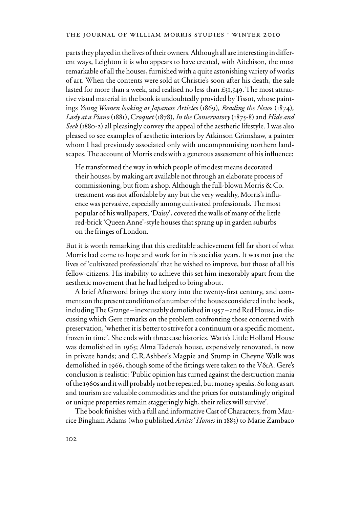#### THE JOURNAL OF WILLIAM MORRIS STUDIES . WINTER 2010

parts they played in the lives of their owners. Although all are interesting in different ways, Leighton it is who appears to have created, with Aitchison, the most remarkable of all the houses, furnished with a quite astonishing variety of works of art. When the contents were sold at Christie's soon after his death, the sale lasted for more than a week, and realised no less than £31,549. The most attractive visual material in the book is undoubtedly provided by Tissot, whose paintings *Young Women looking at Japanese Article*s (1869)*, Reading the New*s (1874)*, Lady at a Piano* (1881), C*roquet* (1878), *In the Conservatory* (1875-8) and *Hide and Seek* (1880-2) all pleasingly convey the appeal of the aesthetic lifestyle. I was also pleased to see examples of aesthetic interiors by Atkinson Grimshaw, a painter whom I had previously associated only with uncompromising northern landscapes. The account of Morris ends with a generous assessment of his influence:

He transformed the way in which people of modest means decorated their houses, by making art available not through an elaborate process of commissioning, but from a shop. Although the full-blown Morris & Co. treatment was not affordable by any but the very wealthy, Morris's influence was pervasive, especially among cultivated professionals. The most popular of his wallpapers, 'Daisy', covered the walls of many of the little red-brick 'Queen Anne'-style houses that sprang up in garden suburbs on the fringes of London.

But it is worth remarking that this creditable achievement fell far short of what Morris had come to hope and work for in his socialist years. It was not just the lives of 'cultivated professionals' that he wished to improve, but those of all his fellow-citizens. His inability to achieve this set him inexorably apart from the aesthetic movement that he had helped to bring about.

A brief Afterword brings the story into the twenty-first century, and comments on the present condition of a number of the houses considered in the book, including The Grange – inexcusably demolished in 1957 – and Red House, in discussing which Gere remarks on the problem confronting those concerned with preservation, 'whether it is better to strive for a continuum or a specific moment, frozen in time'. She ends with three case histories. Watts's Little Holland House was demolished in 1965; Alma Tadena's house, expensively renovated, is now in private hands; and C.R.Ashbee's Magpie and Stump in Cheyne Walk was demolished in 1966, though some of the fittings were taken to the V&A. Gere's conclusion is realistic: 'Public opinion has turned against the destruction mania of the 1960s and it will probably not be repeated, but money speaks. So long as art and tourism are valuable commodities and the prices for outstandingly original or unique properties remain staggeringly high, their relics will survive'.

The book finishes with a full and informative Cast of Characters, from Maurice Bingham Adams (who published *Artists' Homes* in 1883) to Marie Zambaco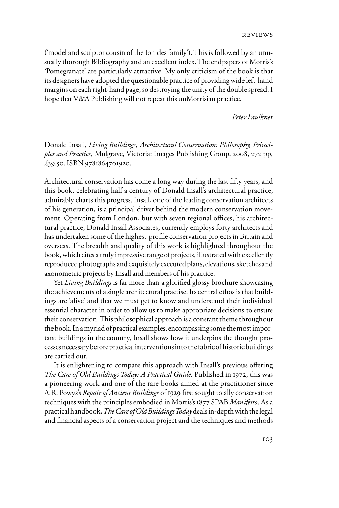('model and sculptor cousin of the Ionides family'). This is followed by an unusually thorough Bibliography and an excellent index. The endpapers of Morris's 'Pomegranate' are particularly attractive. My only criticism of the book is that its designers have adopted the questionable practice of providing wide left-hand margins on each right-hand page, so destroying the unity of the double spread. I hope that V&A Publishing will not repeat this unMorrisian practice.

*Peter Faulkner*

Donald Insall, *Living Buildings, Architectural Conservation: Philosophy, Principles and Practice*, Mulgrave, Victoria: Images Publishing Group, 2008, 272 pp, £39.50. ISBN 9781864701920.

Architectural conservation has come a long way during the last fifty years, and this book, celebrating half a century of Donald Insall's architectural practice, admirably charts this progress. Insall, one of the leading conservation architects of his generation, is a principal driver behind the modern conservation movement. Operating from London, but with seven regional offices, his architectural practice, Donald Insall Associates, currently employs forty architects and has undertaken some of the highest-profile conservation projects in Britain and overseas. The breadth and quality of this work is highlighted throughout the book, which cites a truly impressive range of projects, illustrated with excellently reproduced photographs and exquisitely executed plans, elevations, sketches and axonometric projects by Insall and members of his practice.

Yet *Living Buildings* is far more than a glorified glossy brochure showcasing the achievements of a single architectural practise. Its central ethos is that buildings are 'alive' and that we must get to know and understand their individual essential character in order to allow us to make appropriate decisions to ensure their conservation. This philosophical approach is a constant theme throughout the book. In a myriad of practical examples, encompassing some the most important buildings in the country, Insall shows how it underpins the thought processes necessary before practical interventions into the fabric of historic buildings are carried out.

It is enlightening to compare this approach with Insall's previous offering *The Care of Old Buildings Today: A Practical Guide*. Published in 1972, this was a pioneering work and one of the rare books aimed at the practitioner since A.R. Powys's *Repair of Ancient Buildings* of 1929 first sought to ally conservation techniques with the principles embodied in Morris's 1877 SPAB *Manifesto*. As a practical handbook, *The Care of Old Buildings Today* deals in-depth with the legal and financial aspects of a conservation project and the techniques and methods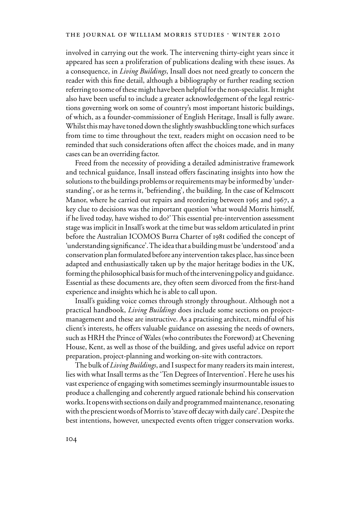## THE JOURNAL OF WILLIAM MORRIS STUDIES . WINTER 2010

involved in carrying out the work. The intervening thirty-eight years since it appeared has seen a proliferation of publications dealing with these issues. As a consequence, in *Living Buildings*, Insall does not need greatly to concern the reader with this fine detail, although a bibliography or further reading section referring to some of these might have been helpful for the non-specialist. It might also have been useful to include a greater acknowledgement of the legal restrictions governing work on some of country's most important historic buildings, of which, as a founder-commissioner of English Heritage, Insall is fully aware. Whilst this may have toned down the slightly swashbuckling tone which surfaces from time to time throughout the text, readers might on occasion need to be reminded that such considerations often affect the choices made, and in many cases can be an overriding factor.

Freed from the necessity of providing a detailed administrative framework and technical guidance, Insall instead offers fascinating insights into how the solutions to the buildings problems or requirements may be informed by 'understanding', or as he terms it, 'befriending', the building. In the case of Kelmscott Manor, where he carried out repairs and reordering between 1965 and 1967, a key clue to decisions was the important question 'what would Morris himself, if he lived today, have wished to do?' This essential pre-intervention assessment stage was implicit in Insall's work at the time but was seldom articulated in print before the Australian ICOMOS Burra Charter of 1981 codified the concept of 'understanding significance'. The idea that a building must be 'understood' and a conservation plan formulated before any intervention takes place, has since been adapted and enthusiastically taken up by the major heritage bodies in the UK, forming the philosophical basis for much of the intervening policy and guidance. Essential as these documents are, they often seem divorced from the first-hand experience and insights which he is able to call upon.

Insall's guiding voice comes through strongly throughout. Although not a practical handbook, *Living Buildings* does include some sections on projectmanagement and these are instructive. As a practising architect, mindful of his client's interests, he offers valuable guidance on assessing the needs of owners, such as HRH the Prince of Wales (who contributes the Foreword) at Chevening House, Kent, as well as those of the building, and gives useful advice on report preparation, project-planning and working on-site with contractors.

The bulk of *Living Buildings*, and I suspect for many readers its main interest, lies with what Insall terms as the 'Ten Degrees of Intervention'. Here he uses his vast experience of engaging with sometimes seemingly insurmountable issues to produce a challenging and coherently argued rationale behind his conservation works. It opens with sections on daily and programmed maintenance, resonating with the prescient words of Morris to 'stave off decay with daily care'. Despite the best intentions, however, unexpected events often trigger conservation works.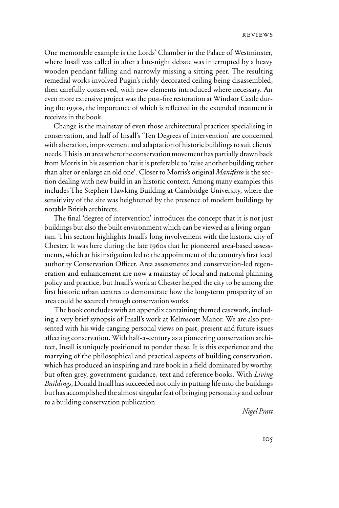One memorable example is the Lords' Chamber in the Palace of Westminster, where Insall was called in after a late-night debate was interrupted by a heavy wooden pendant falling and narrowly missing a sitting peer. The resulting remedial works involved Pugin's richly decorated ceiling being disassembled, then carefully conserved, with new elements introduced where necessary. An even more extensive project was the post-fire restoration at Windsor Castle during the 1990s, the importance of which is reflected in the extended treatment it receives in the book.

Change is the mainstay of even those architectural practices specialising in conservation, and half of Insall's 'Ten Degrees of Intervention' are concerned with alteration, improvement and adaptation of historic buildings to suit clients' needs. This is an area where the conservation movement has partially drawn back from Morris in his assertion that it is preferable to 'raise another building rather than alter or enlarge an old one'. Closer to Morris's original *Manifesto* is the section dealing with new build in an historic context. Among many examples this includes The Stephen Hawking Building at Cambridge University, where the sensitivity of the site was heightened by the presence of modern buildings by notable British architects.

The final 'degree of intervention' introduces the concept that it is not just buildings but also the built environment which can be viewed as a living organism. This section highlights Insall's long involvement with the historic city of Chester. It was here during the late 1960s that he pioneered area-based assessments, which at his instigation led to the appointment of the country's first local authority Conservation Officer. Area assessments and conservation-led regeneration and enhancement are now a mainstay of local and national planning policy and practice, but Insall's work at Chester helped the city to be among the first historic urban centres to demonstrate how the long-term prosperity of an area could be secured through conservation works.

 The book concludes with an appendix containing themed casework, including a very brief synopsis of Insall's work at Kelmscott Manor. We are also presented with his wide-ranging personal views on past, present and future issues affecting conservation. With half-a-century as a pioneering conservation architect, Insall is uniquely positioned to ponder these. It is this experience and the marrying of the philosophical and practical aspects of building conservation, which has produced an inspiring and rare book in a field dominated by worthy, but often grey, government-guidance, text and reference books. With *Living Buildings*, Donald Insall has succeeded not only in putting life into the buildings but has accomplished the almost singular feat of bringing personality and colour to a building conservation publication.

 *Nigel Pratt*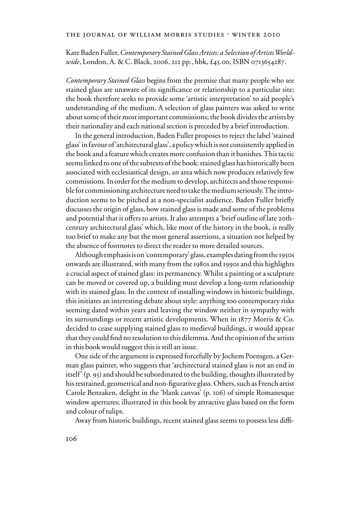Kate Baden Fuller, *Contemporary Stained Glass Artists: a Selection of Artists Worldwide*, London, A. & C. Black, 2006, 212 pp., hbk, £45.00, ISBN 0713654287.

*Contemporary Stained Glass* begins from the premise that many people who see stained glass are unaware of its significance or relationship to a particular site; the book therefore seeks to provide some 'artistic interpretation' to aid people's understanding of the medium. A selection of glass painters was asked to write about some of their most important commissions; the book divides the artists by their nationality and each national section is preceded by a brief introduction.

In the general introduction, Baden Fuller proposes to reject the label 'stained glass' in favour of 'architectural glass', a policy which is not consistently applied in the book and a feature which creates more confusion than it banishes. This tactic seems linked to one of the subtexts of the book: stained glass has historically been associated with ecclesiastical design, an area which now produces relatively few commissions. In order for the medium to develop, architects and those responsible for commissioning architecture need to take the medium seriously. The introduction seems to be pitched at a non-specialist audience. Baden Fuller briefly discusses the origin of glass, how stained glass is made and some of the problems and potential that it offers to artists. It also attempts a 'brief outline of late 20thcentury architectural glass' which, like most of the history in the book, is really too brief to make any but the most general assertions, a situation not helped by the absence of footnotes to direct the reader to more detailed sources.

Although emphasis is on 'contemporary' glass, examples dating from the 1950s onwards are illustrated, with many from the 1980s and 1990s and this highlights a crucial aspect of stained glass: its permanency. Whilst a painting or a sculpture can be moved or covered up, a building must develop a long-term relationship with its stained glass. In the context of installing windows in historic buildings, this initiates an interesting debate about style: anything too contemporary risks seeming dated within years and leaving the window neither in sympathy with its surroundings or recent artistic developments. When in 1877 Morris & Co. decided to cease supplying stained glass to medieval buildings, it would appear that they could find no resolution to this dilemma. And the opinion of the artists in this book would suggest this is still an issue.

One side of the argument is expressed forcefully by Jochem Poensgen, a German glass painter, who suggests that 'architectural stained glass is not an end in itself' (p. 95) and should be subordinated to the building, thoughts illustrated by his restrained, geometrical and non-figurative glass. Others, such as French artist Carole Benzaken, delight in the 'blank canvas' (p. 106) of simple Romanesque window apertures; illustrated in this book by attractive glass based on the form and colour of tulips.

Away from historic buildings, recent stained glass seems to possess less diffi-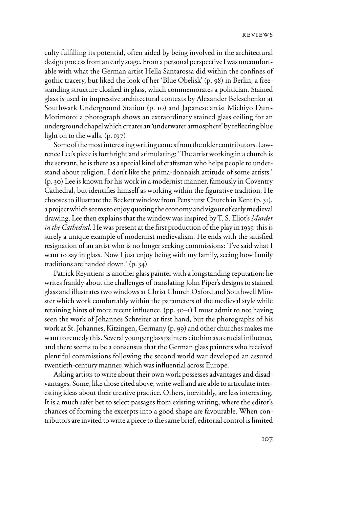culty fulfilling its potential, often aided by being involved in the architectural design process from an early stage. From a personal perspective I was uncomfortable with what the German artist Hella Santarossa did within the confines of gothic tracery, but liked the look of her 'Blue Obelisk' (p. 98) in Berlin, a freestanding structure cloaked in glass, which commemorates a politician. Stained glass is used in impressive architectural contexts by Alexander Beleschenko at Southwark Underground Station (p. 10) and Japanese artist Michiyo Durt-Morimoto: a photograph shows an extraordinary stained glass ceiling for an underground chapel which creates an 'underwater atmosphere' by reflecting blue light on to the walls. (p. 197)

Some of the most interesting writing comes from the older contributors. Lawrence Lee's piece is forthright and stimulating: 'The artist working in a church is the servant, he is there as a special kind of craftsman who helps people to understand about religion. I don't like the prima-donnaish attitude of some artists.' (p. 30) Lee is known for his work in a modernist manner, famously in Coventry Cathedral, but identifies himself as working within the figurative tradition. He chooses to illustrate the Beckett window from Penshurst Church in Kent (p. 31), a project which seems to enjoy quoting the economy and vigour of early medieval drawing. Lee then explains that the window was inspired by T. S. Eliot's *Murder in the Cathedral*. He was present at the first production of the play in 1935: this is surely a unique example of modernist medievalism. He ends with the satisfied resignation of an artist who is no longer seeking commissions: 'I've said what I want to say in glass. Now I just enjoy being with my family, seeing how family traditions are handed down.' (p. 34)

Patrick Reyntiens is another glass painter with a longstanding reputation: he writes frankly about the challenges of translating John Piper's designs to stained glass and illustrates two windows at Christ Church Oxford and Southwell Minster which work comfortably within the parameters of the medieval style while retaining hints of more recent influence.  $(pp. 50-1)$  I must admit to not having seen the work of Johannes Schreiter at first hand, but the photographs of his work at St. Johannes, Kitzingen, Germany (p. 99) and other churches makes me want to remedy this. Several younger glass painters cite him as a crucial influence, and there seems to be a consensus that the German glass painters who received plentiful commissions following the second world war developed an assured twentieth-century manner, which was influential across Europe.

Asking artists to write about their own work possesses advantages and disadvantages. Some, like those cited above, write well and are able to articulate interesting ideas about their creative practice. Others, inevitably, are less interesting. It is a much safer bet to select passages from existing writing, where the editor's chances of forming the excerpts into a good shape are favourable. When contributors are invited to write a piece to the same brief, editorial control is limited